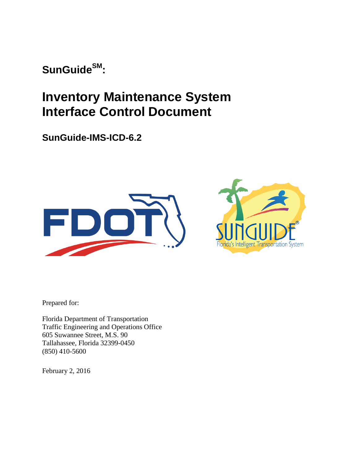**SunGuideSM:**

# **Inventory Maintenance System Interface Control Document**

**SunGuide-IMS-ICD-6.2**





Prepared for:

Florida Department of Transportation Traffic Engineering and Operations Office 605 Suwannee Street, M.S. 90 Tallahassee, Florida 32399-0450 (850) 410-5600

February 2, 2016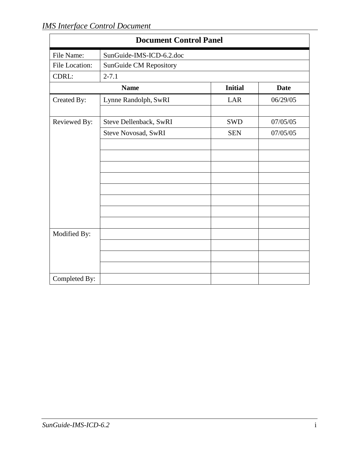| <b>Document Control Panel</b> |                            |                |             |  |  |  |
|-------------------------------|----------------------------|----------------|-------------|--|--|--|
| File Name:                    | SunGuide-IMS-ICD-6.2.doc   |                |             |  |  |  |
| File Location:                | SunGuide CM Repository     |                |             |  |  |  |
| CDRL:                         | $2 - 7.1$                  |                |             |  |  |  |
|                               | <b>Name</b>                | <b>Initial</b> | <b>Date</b> |  |  |  |
| Created By:                   | Lynne Randolph, SwRI       | LAR            | 06/29/05    |  |  |  |
|                               |                            |                |             |  |  |  |
| Reviewed By:                  | Steve Dellenback, SwRI     | <b>SWD</b>     | 07/05/05    |  |  |  |
|                               | <b>Steve Novosad, SwRI</b> | <b>SEN</b>     | 07/05/05    |  |  |  |
|                               |                            |                |             |  |  |  |
|                               |                            |                |             |  |  |  |
|                               |                            |                |             |  |  |  |
|                               |                            |                |             |  |  |  |
|                               |                            |                |             |  |  |  |
|                               |                            |                |             |  |  |  |
|                               |                            |                |             |  |  |  |
|                               |                            |                |             |  |  |  |
| Modified By:                  |                            |                |             |  |  |  |
|                               |                            |                |             |  |  |  |
|                               |                            |                |             |  |  |  |
|                               |                            |                |             |  |  |  |
| Completed By:                 |                            |                |             |  |  |  |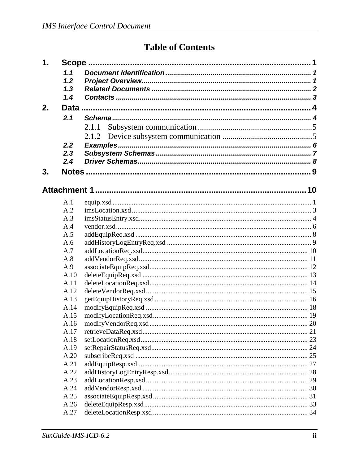## **Table of Contents**

| 1. |              |       |  |  |  |
|----|--------------|-------|--|--|--|
|    | 1.1          |       |  |  |  |
|    | 1.2          |       |  |  |  |
|    | 1.3          |       |  |  |  |
|    | 1.4          |       |  |  |  |
| 2. |              |       |  |  |  |
|    | 2.1          |       |  |  |  |
|    |              | 2.1.1 |  |  |  |
|    |              | 2.1.2 |  |  |  |
|    | 2.2          |       |  |  |  |
|    | 2.3          |       |  |  |  |
|    | 2.4          |       |  |  |  |
| 3. |              |       |  |  |  |
|    |              |       |  |  |  |
|    |              |       |  |  |  |
|    |              |       |  |  |  |
|    | A.1          |       |  |  |  |
|    | A.2          |       |  |  |  |
|    | A.3          |       |  |  |  |
|    | A.4          |       |  |  |  |
|    | A.5          |       |  |  |  |
|    | A.6          |       |  |  |  |
|    | A.7          |       |  |  |  |
|    | A.8          |       |  |  |  |
|    | A.9          |       |  |  |  |
|    | A.10         |       |  |  |  |
|    | A.11         |       |  |  |  |
|    | A.12         |       |  |  |  |
|    | A.13         |       |  |  |  |
|    | A.14         |       |  |  |  |
|    | A.15         |       |  |  |  |
|    | A.16         |       |  |  |  |
|    | A.17         |       |  |  |  |
|    | A.18         |       |  |  |  |
|    | A.19         |       |  |  |  |
|    | A.20         |       |  |  |  |
|    | A.21         |       |  |  |  |
|    | A.22         |       |  |  |  |
|    | A.23         |       |  |  |  |
|    | A.24<br>A.25 |       |  |  |  |
|    | A.26         |       |  |  |  |
|    | A.27         |       |  |  |  |
|    |              |       |  |  |  |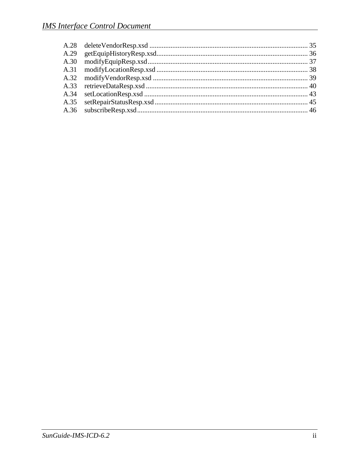| A.29 |  |
|------|--|
| A.30 |  |
|      |  |
|      |  |
|      |  |
|      |  |
|      |  |
|      |  |
|      |  |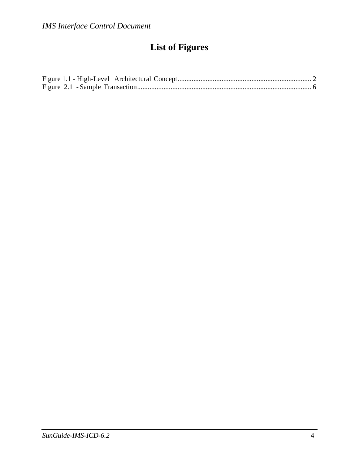# **List of Figures**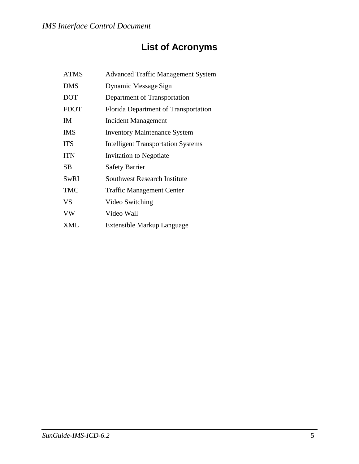# **List of Acronyms**

| <b>ATMS</b> | <b>Advanced Traffic Management System</b> |
|-------------|-------------------------------------------|
| <b>DMS</b>  | Dynamic Message Sign                      |
| <b>DOT</b>  | Department of Transportation              |
| <b>FDOT</b> | Florida Department of Transportation      |
| ΙM          | <b>Incident Management</b>                |
| <b>IMS</b>  | <b>Inventory Maintenance System</b>       |
| <b>ITS</b>  | <b>Intelligent Transportation Systems</b> |
| <b>ITN</b>  | <b>Invitation to Negotiate</b>            |
| SВ          | <b>Safety Barrier</b>                     |
| SwRI        | Southwest Research Institute              |
| <b>TMC</b>  | <b>Traffic Management Center</b>          |
| VS          | Video Switching                           |
| VW          | Video Wall                                |
| XML         | Extensible Markup Language                |
|             |                                           |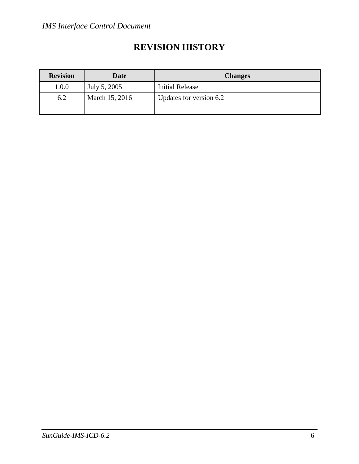## **REVISION HISTORY**

| <b>Revision</b> | Date           | <b>Changes</b>          |
|-----------------|----------------|-------------------------|
| 1.0.0           | July 5, 2005   | <b>Initial Release</b>  |
| 6.2             | March 15, 2016 | Updates for version 6.2 |
|                 |                |                         |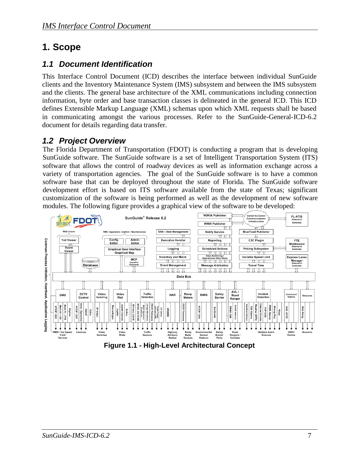## <span id="page-7-0"></span>**1. Scope**

### <span id="page-7-1"></span>*1.1 Document Identification*

This Interface Control Document (ICD) describes the interface between individual SunGuide clients and the Inventory Maintenance System (IMS) subsystem and between the IMS subsystem and the clients. The general base architecture of the XML communications including connection information, byte order and base transaction classes is delineated in the general ICD. This ICD defines Extensible Markup Language (XML) schemas upon which XML requests shall be based in communicating amongst the various processes. Refer to the SunGuide-General-ICD-6.2 document for details regarding data transfer.

## <span id="page-7-2"></span>*1.2 Project Overview*

The Florida Department of Transportation (FDOT) is conducting a program that is developing SunGuide software. The SunGuide software is a set of Intelligent Transportation System (ITS) software that allows the control of roadway devices as well as information exchange across a variety of transportation agencies. The goal of the SunGuide software is to have a common software base that can be deployed throughout the state of Florida. The SunGuide software development effort is based on ITS software available from the state of Texas; significant customization of the software is being performed as well as the development of new software modules. The following figure provides a graphical view of the software to be developed:



**Figure 1.1 - High-Level Architectural Concept**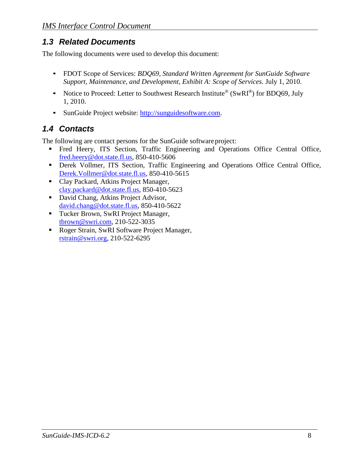## <span id="page-8-0"></span>*1.3 Related Documents*

The following documents were used to develop this document:

- FDOT Scope of Services: *BDQ69, Standard Written Agreement for SunGuide Software Support, Maintenance, and Development, Exhibit A: Scope of Services.* July 1, 2010.
- Notice to Proceed: Letter to Southwest Research Institute<sup>®</sup> (SwRI<sup>®</sup>) for BDQ69, July 1, 2010.
- **EXECUTE:** SunGuide Project website: [http://sunguidesoftware.com.](http://sunguidesoftware.com/)

## <span id="page-8-1"></span>*1.4 Contacts*

The following are contact persons for the SunGuide software project:

- Fred Heery, ITS Section, Traffic Engineering and Operations Office Central Office, [fred.heery@dot.state.fl.us,](mailto:fred.heery@dot.state.fl.us) 850-410-5606
- Derek Vollmer, ITS Section, Traffic Engineering and Operations Office Central Office, [Derek.Vollmer@dot.state.fl.us,](mailto:Derek.Vollmer@dot.state.fl.us) 850-410-5615
- Clay Packard, Atkins Project Manager, [clay.packard@dot.](mailto:clay.packard@dot)state.fl.us, 850-410-5623
- David Chang, Atkins Project Advisor, [david.chang@dot.state.fl.us,](mailto:david.chang@dot.state.fl.us) 850-410-5622
- Tucker Brown, SwRI Project Manager, [tbrown@swri.com,](mailto:tbrown@swri.com) 210-522-3035
- Roger Strain, SwRI Software Project Manager, [rstrain@swri.org,](mailto:rstrain@swri.org) 210-522-6295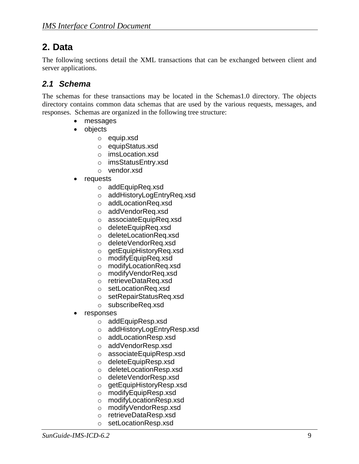## <span id="page-9-0"></span>**2. Data**

The following sections detail the XML transactions that can be exchanged between client and server applications.

### <span id="page-9-1"></span>*2.1 Schema*

The schemas for these transactions may be located in the Schemas1.0 directory. The objects directory contains common data schemas that are used by the various requests, messages, and responses. Schemas are organized in the following tree structure:

- messages
- objects
	- o equip.xsd
	- o equipStatus.xsd
	- o imsLocation.xsd
	- o imsStatusEntry.xsd
	- o vendor.xsd
- requests
	- o addEquipReq.xsd
	- o addHistoryLogEntryReq.xsd
	- o addLocationReq.xsd
	- o addVendorReq.xsd
	- o associateEquipReq.xsd
	- o deleteEquipReq.xsd
	- o deleteLocationReq.xsd
	- o deleteVendorReq.xsd
	- o getEquipHistoryReq.xsd
	- o modifyEquipReq.xsd
	- o modifyLocationReq.xsd
	- o modifyVendorReq.xsd
	- o retrieveDataReq.xsd
	- o setLocationReq.xsd
	- o setRepairStatusReq.xsd
	- o subscribeReq.xsd
- responses
	- o addEquipResp.xsd
	- o addHistoryLogEntryResp.xsd
	- o addLocationResp.xsd
	- o addVendorResp.xsd
	- o associateEquipResp.xsd
	- o deleteEquipResp.xsd
	- o deleteLocationResp.xsd
	- o deleteVendorResp.xsd
	- o getEquipHistoryResp.xsd
	- o modifyEquipResp.xsd
	- o modifyLocationResp.xsd
	- o modifyVendorResp.xsd
	- o retrieveDataResp.xsd
	- o setLocationResp.xsd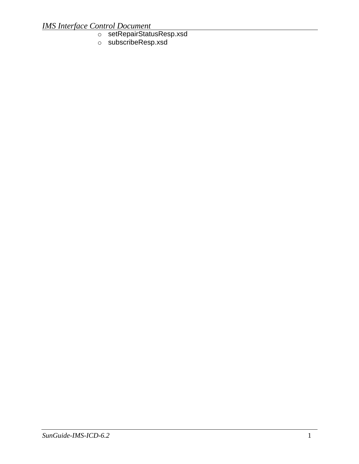#### *IMS Interface Control Document*

- o setRepairStatusResp.xsd
- o subscribeResp.xsd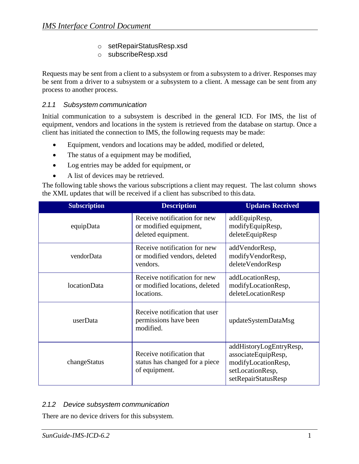- o setRepairStatusResp.xsd
- o subscribeResp.xsd

Requests may be sent from a client to a subsystem or from a subsystem to a driver. Responses may be sent from a driver to a subsystem or a subsystem to a client. A message can be sent from any process to another process.

#### *2.1.1 Subsystem communication*

Initial communication to a subsystem is described in the general ICD. For IMS, the list of equipment, vendors and locations in the system is retrieved from the database on startup. Once a client has initiated the connection to IMS, the following requests may be made:

- Equipment, vendors and locations may be added, modified or deleted,
- The status of a equipment may be modified,
- Log entries may be added for equipment, or
- A list of devices may be retrieved.

The following table shows the various subscriptions a client may request. The last column shows the XML updates that will be received if a client has subscribed to this data.

| <b>Subscription</b> | <b>Description</b>                                                           | <b>Updates Received</b>                                                                                          |
|---------------------|------------------------------------------------------------------------------|------------------------------------------------------------------------------------------------------------------|
| equipData           | Receive notification for new<br>or modified equipment,<br>deleted equipment. | addEquipResp,<br>modifyEquipResp,<br>deleteEquipResp                                                             |
| vendorData          | Receive notification for new<br>or modified vendors, deleted<br>vendors.     | addVendorResp,<br>modifyVendorResp,<br>deleteVendorResp                                                          |
| locationData        | Receive notification for new<br>or modified locations, deleted<br>locations. | addLocationResp,<br>modifyLocationResp,<br>deleteLocationResp                                                    |
| userData            | Receive notification that user<br>permissions have been<br>modified.         | updateSystemDataMsg                                                                                              |
| changeStatus        | Receive notification that<br>status has changed for a piece<br>of equipment. | addHistoryLogEntryResp,<br>associateEquipResp,<br>modifyLocationResp,<br>setLocationResp,<br>setRepairStatusResp |

#### *2.1.2 Device subsystem communication*

There are no device drivers for this subsystem.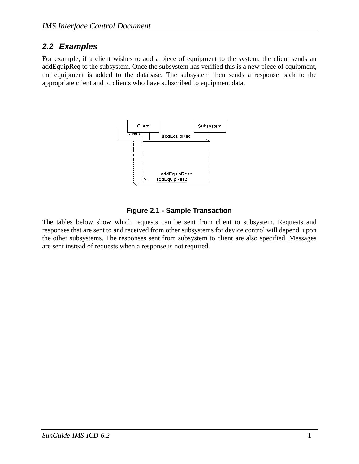### <span id="page-12-0"></span>*2.2 Examples*

For example, if a client wishes to add a piece of equipment to the system, the client sends an addEquipReq to the subsystem. Once the subsystem has verified this is a new piece of equipment, the equipment is added to the database. The subsystem then sends a response back to the appropriate client and to clients who have subscribed to equipment data.



#### **Figure 2.1 - Sample Transaction**

The tables below show which requests can be sent from client to subsystem. Requests and responses that are sent to and received from other subsystems for device control will depend upon the other subsystems. The responses sent from subsystem to client are also specified. Messages are sent instead of requests when a response is not required.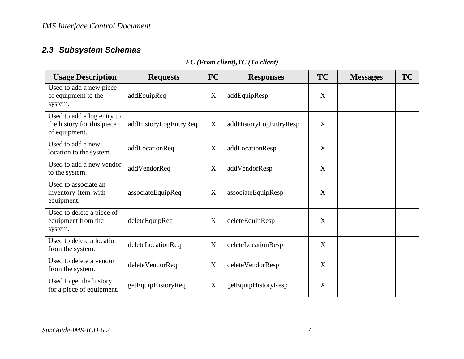## *2.3 Subsystem Schemas*

### *FC (From client),TC (To client)*

<span id="page-13-0"></span>

| <b>Usage Description</b>                                                  | <b>Requests</b>       | FC | <b>Responses</b>       | <b>TC</b> | <b>Messages</b> | <b>TC</b> |
|---------------------------------------------------------------------------|-----------------------|----|------------------------|-----------|-----------------|-----------|
| Used to add a new piece<br>of equipment to the<br>system.                 | addEquipReq           | X  | addEquipResp           | X         |                 |           |
| Used to add a log entry to<br>the history for this piece<br>of equipment. | addHistoryLogEntryReq | X  | addHistoryLogEntryResp | X         |                 |           |
| Used to add a new<br>location to the system.                              | addLocationReq        | X  | addLocationResp        | X         |                 |           |
| Used to add a new vendor<br>to the system.                                | addVendorReq          | X  | addVendorResp          | X         |                 |           |
| Used to associate an<br>inventory item with<br>equipment.                 | associateEquipReq     | X  | associateEquipResp     | X         |                 |           |
| Used to delete a piece of<br>equipment from the<br>system.                | deleteEquipReq        | X  | deleteEquipResp        | X         |                 |           |
| Used to delete a location<br>from the system.                             | deleteLocationReq     | X  | deleteLocationResp     | X         |                 |           |
| Used to delete a vendor<br>from the system.                               | deleteVendorReq       | X  | deleteVendorResp       | X         |                 |           |
| Used to get the history<br>for a piece of equipment.                      | getEquipHistoryReq    | X  | getEquipHistoryResp    | X         |                 |           |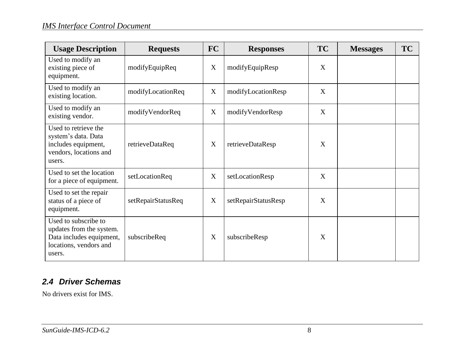| <b>Usage Description</b>                                                                                         | <b>Requests</b>    | <b>FC</b> | <b>Responses</b>    | <b>TC</b> | <b>Messages</b> | <b>TC</b> |
|------------------------------------------------------------------------------------------------------------------|--------------------|-----------|---------------------|-----------|-----------------|-----------|
| Used to modify an<br>existing piece of<br>equipment.                                                             | modifyEquipReq     | X         | modifyEquipResp     | X         |                 |           |
| Used to modify an<br>existing location.                                                                          | modifyLocationReq  | X         | modifyLocationResp  | X         |                 |           |
| Used to modify an<br>existing vendor.                                                                            | modifyVendorReq    | X         | modifyVendorResp    | X         |                 |           |
| Used to retrieve the<br>system's data. Data<br>includes equipment,<br>vendors, locations and<br>users.           | retrieveDataReq    | X         | retrieveDataResp    | X         |                 |           |
| Used to set the location<br>for a piece of equipment.                                                            | setLocationReq     | X         | setLocationResp     | X         |                 |           |
| Used to set the repair<br>status of a piece of<br>equipment.                                                     | setRepairStatusReq | X         | setRepairStatusResp | X         |                 |           |
| Used to subscribe to<br>updates from the system.<br>Data includes equipment,<br>locations, vendors and<br>users. | subscribeReq       | X         | subscribeResp       | X         |                 |           |

## *2.4 Driver Schemas*

<span id="page-14-0"></span>No drivers exist for IMS.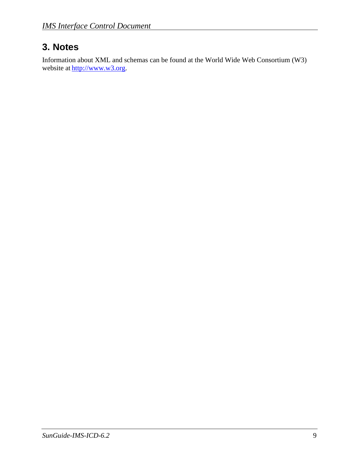## <span id="page-15-0"></span>**3. Notes**

Information about XML and schemas can be found at the World Wide Web Consortium (W3) website at [http://www.w3.org.](http://www.w3.org/)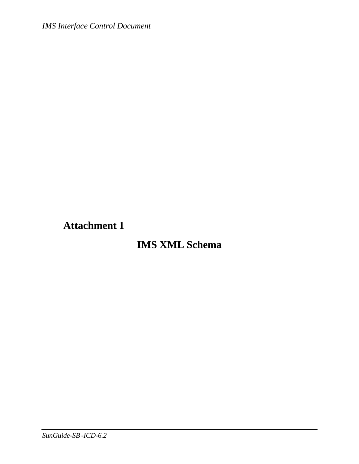# <span id="page-16-0"></span>**Attachment 1**

# **IMS XML Schema**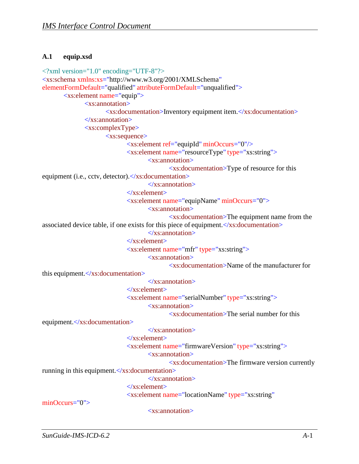#### <span id="page-17-0"></span>**A.1 equip.xsd**

```
<?xml version="1.0" encoding="UTF-8"?>
<xs:schema xmlns:xs="http://www.w3.org/2001/XMLSchema" 
elementFormDefault="qualified" attributeFormDefault="unqualified">
       <xs:element name="equip">
              <xs:annotation>
                     <xs:documentation>Inventory equipment item.</xs:documentation>
              \langle xs: annotation
              <xs:complexType>
                     <xs:sequence>
                            <xs:element ref="equipId" minOccurs="0"/>
                            <xs:element name="resourceType" type="xs:string">
                                    <xs:annotation>
                                           <xs:documentation>Type of resource for this 
equipment (i.e., cctv, detector). </xs:documentation>
                                   </xs:annotation>
                            </xs:element>
                             <xs:element name="equipName" minOccurs="0">
                                    <xs:annotation>
                                           <xs:documentation>The equipment name from the 
associated device table, if one exists for this piece of equipment.\langle x \ranglexs:documentation
                                   \langle xs: annotation\rangle</xs:element>
                             <xs:element name="mfr" type="xs:string">
                                    <xs:annotation>
                                           <xs:documentation>Name of the manufacturer for
this equipment.</xs:documentation>
                                    </xs:annotation>
                            </xs:element>
                             <xs:element name="serialNumber" type="xs:string">
                                    <xs:annotation>
                                           <xs:documentation>The serial number for this
equipment.</xs:documentation>
                                    </xs:annotation>
                            \langlexs:element\rangle<xs:element name="firmwareVersion" type="xs:string">
                                    <xs:annotation>
                                           <xs:documentation>The firmware version currently 
running in this equipment.</xs:documentation>
                                   </xs:annotation>
                             </xs:element>
                             <xs:element name="locationName" type="xs:string"
minOccurs="0">
                                    <xs:annotation>
```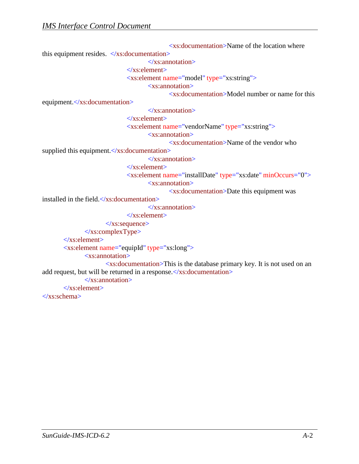<xs:documentation>Name of the location where this equipment resides.  $\langle x \rangle$ xs:documentation>  $\langle x \rangle$ xs: annotation </xs:element> <xs:element name="model" type="xs:string"> <xs:annotation> <xs:documentation>Model number or name for this equipment.</xs:documentation>  $\langle x$ s: annotation $\rangle$ </xs:element> <xs:element name="vendorName" type="xs:string"> <xs:annotation> <xs:documentation>Name of the vendor who supplied this equipment.  $\langle x \rangle$ s: documentation  $\langle x \rangle$ xs: annotation  $\langle$ xs:element $\rangle$ <xs:element name="installDate" type="xs:date" minOccurs="0"> <xs:annotation> <xs:documentation>Date this equipment was installed in the field. $\langle x \rangle$ s: documentation $>$ </xs:annotation> </xs:element>  $\langle x \rangle$ xs:sequence  $\langle xs:complexType\rangle$ </xs:element> <xs:element name="equipId" type="xs:long"> <xs:annotation> <xs:documentation>This is the database primary key. It is not used on an add request, but will be returned in a response.  $\langle x \rangle$ xs: documentation </xs:annotation> </xs:element> </xs:schema>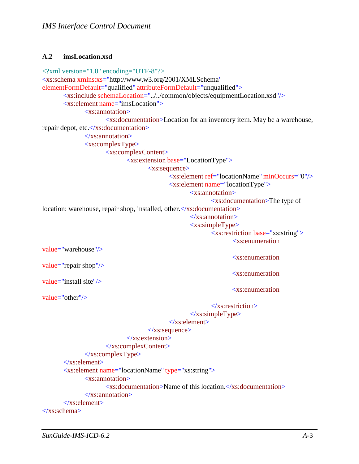#### <span id="page-19-0"></span>**A.2 imsLocation.xsd**

```
<?xml version="1.0" encoding="UTF-8"?>
<xs:schema xmlns:xs="http://www.w3.org/2001/XMLSchema" 
elementFormDefault="qualified" attributeFormDefault="unqualified">
       <xs:include schemaLocation="../../common/objects/equipmentLocation.xsd"/>
       <xs:element name="imsLocation">
               <xs:annotation>
                      <xs:documentation>Location for an inventory item. May be a warehouse, 
repair depot, etc.</xs:documentation>
               </xs:annotation>
               <xs:complexType>
                      <xs:complexContent>
                              <xs:extension base="LocationType">
                                      <xs:sequence>
                                             <xs:element ref="locationName" minOccurs="0"/>
                                             <xs:element name="locationType">
                                                     <xs:annotation>
                                                            <xs:documentation>The type of 
location: warehouse, repair shop, installed, other.</xs:documentation>
                                                     </xs:annotation>
                                                     <xs:simpleType>
                                                            <xs:restriction base="xs:string">
                                                                    <xs:enumeration
value="warehouse"/> 
value="repair shop"/> 
value="install site"/> 
value="other"/>
                                                                    <xs:enumeration
                                                                    <xs:enumeration
                                                                    <xs:enumeration
                                                            \langlexs:restriction>
                                                     \langle x \rangles:simpleType\langle x \rangle</xs:element>
                                     \langle x \ranglexs:sequence
                              </xs:extension>
                      </xs:complexContent>
               \langle xs:complexType\rangle\langlexs:element\rangle<xs:element name="locationName" type="xs:string">
               <xs:annotation>
                      \langle x \rangle xs:documentation Name of this location. \langle x \rangles:documentation
               </xs:annotation>
       </xs:element>
</xs:schema>
```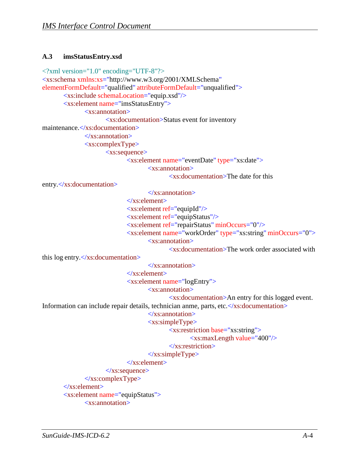#### <span id="page-20-0"></span>**A.3 imsStatusEntry.xsd**

```
<?xml version="1.0" encoding="UTF-8"?>
<xs:schema xmlns:xs="http://www.w3.org/2001/XMLSchema" 
elementFormDefault="qualified" attributeFormDefault="unqualified">
       <xs:include schemaLocation="equip.xsd"/>
       <xs:element name="imsStatusEntry">
              <xs:annotation>
                     <xs:documentation>Status event for inventory 
maintenance.</xs:documentation>
              </xs:annotation>
              <xs:complexType>
                     <xs:sequence>
                            <xs:element name="eventDate" type="xs:date">
                                    <xs:annotation>
                                           <xs:documentation>The date for this
entry.</xs:documentation>
                                    \langle x \ranglexs: annotation
                            \langlexs:element\rangle<xs:element ref="equipId"/>
                             <xs:element ref="equipStatus"/>
                             <xs:element ref="repairStatus" minOccurs="0"/>
                             <xs:element name="workOrder" type="xs:string" minOccurs="0">
                                    <xs:annotation>
                                           <xs:documentation>The work order associated with
this log entry.</xs:documentation>
                                    </xs:annotation>
                             </xs:element>
                             <xs:element name="logEntry">
                                    <xs:annotation>
                                           <xs:documentation>An entry for this logged event.
Information can include repair details, technician anme, parts, etc. </xs:documentation>
                                    </xs:annotation>
```
<xs:simpleType>

<xs:restriction base="xs:string">

<xs:maxLength value="400"/>

</xs:restriction>

#### </xs:simpleType>

```
</xs:element>
```
 $\langle x$ s:sequence>

</xs:complexType>

</xs:element>

```
<xs:element name="equipStatus">
```
<xs:annotation>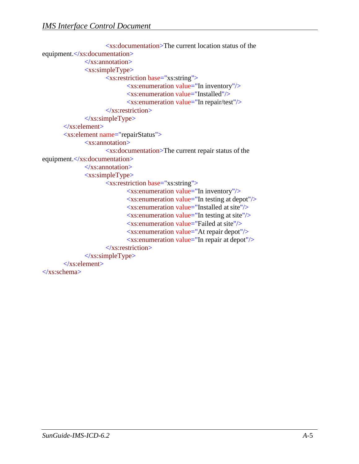```
<xs:documentation>The current location status of the 
equipment.</xs:documentation>
               \langle x \rangles: annotation
               <xs:simpleType>
                       <xs:restriction base="xs:string">
                              <xs:enumeration value="In inventory"/>
                              <xs:enumeration value="Installed"/>
                              <xs:enumeration value="In repair/test"/>
                       </xs:restriction>
               \langle x \rangles:simpleType\langle x \rangle</xs:element>
       <xs:element name="repairStatus">
               <xs:annotation>
                       <xs:documentation>The current repair status of the 
equipment.</xs:documentation>
               </xs:annotation>
               <xs:simpleType>
                       <xs:restriction base="xs:string">
                              <xs:enumeration value="In inventory"/>
                              <xs:enumeration value="In testing at depot"/>
                              <xs:enumeration value="Installed at site"/>
                              \leqxs: enumeration value="In testing at site"/><xs:enumeration value="Failed at site"/>
                              <xs:enumeration value="At repair depot"/>
                              <xs:enumeration value="In repair at depot"/>
                       </xs:restriction>
               \langle xs:simpleType>
       </xs:element>
</xs:schema>
```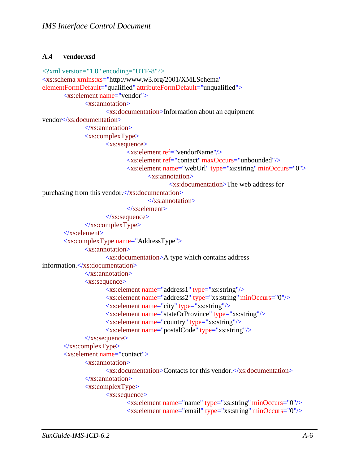#### <span id="page-22-0"></span>**A.4 vendor.xsd**

```
<?xml version="1.0" encoding="UTF-8"?>
<xs:schema xmlns:xs="http://www.w3.org/2001/XMLSchema" 
elementFormDefault="qualified" attributeFormDefault="unqualified">
       <xs:element name="vendor">
              <xs:annotation>
                      <xs:documentation>Information about an equipment 
vendor</xs:documentation>
              </xs:annotation>
              <xs:complexType>
                      <xs:sequence>
                             <xs:element ref="vendorName"/>
                             <xs:element ref="contact"maxOccurs="unbounded"/>
                             <xs:element name="webUrl" type="xs:string" minOccurs="0">
                                     <xs:annotation>
                                            <xs:documentation>The web address for 
purchasing from this vendor.</xs:documentation>
                                     \langle x \ranglexs: annotation
                             </xs:element>
                      \langle x \rangles:sequence
               </xs:complexType>
       </xs:element>
       <xs:complexType name="AddressType">
              <xs:annotation>
                      <xs:documentation>A type which contains address 
information.</xs:documentation>
              </xs:annotation>
              <xs:sequence>
                      <xs:element name="address1" type="xs:string"/>
                      <xs:element name="address2" type="xs:string" minOccurs="0"/>
                      <xs:element name="city" type="xs:string"/>
                      <xs:element name="stateOrProvince" type="xs:string"/>
                      <xs:element name="country" type="xs:string"/>
                      <xs:element name="postalCode" type="xs:string"/>
              \langle x \ranglexs:sequence
       </xs:complexType>
       <xs:element name="contact">
               <xs:annotation>
                      \langle x \rangles:documentation\langleContacts for this vendor\langle x \rangles:documentation\langle x \rangle\langle x \ranglexs: annotation
               <xs:complexType>
                      <xs:sequence>
                             <xs:element name="name" type="xs:string" minOccurs="0"/>
                             <xs:element name="email" type="xs:string" minOccurs="0"/>
```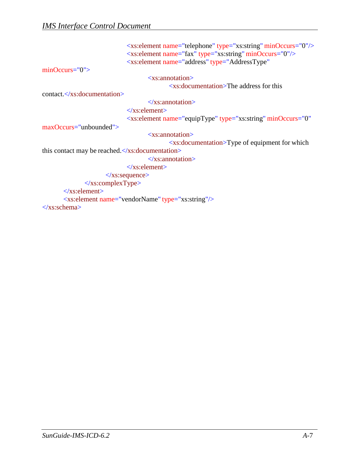```
minOccurs="0"> 
contact.</xs:documentation>
maxOccurs="unbounded">
                             <xs:element name="telephone" type="xs:string" minOccurs="0"/>
                             <xs:element name="fax" type="xs:string" minOccurs="0"/>
                             <xs:element name="address" type="AddressType"
                                     <xs:annotation>
                                            <xs:documentation>The address for this
                                     </xs:annotation>
                             </xs:element>
                             <xs:element name="equipType" type="xs:string" minOccurs="0"
                                     <xs:annotation>
                                            <xs:documentation>Type of equipment for which
this contact may be reached.</xs:documentation>
                                     \langle x \ranglexs: annotation
                             \langlexs:element\rangle\langle x \ranglexs:sequence
              </xs:complexType>
       \langle x \rangles: element
       <xs:element name="vendorName" type="xs:string"/>
</xs:schema>
```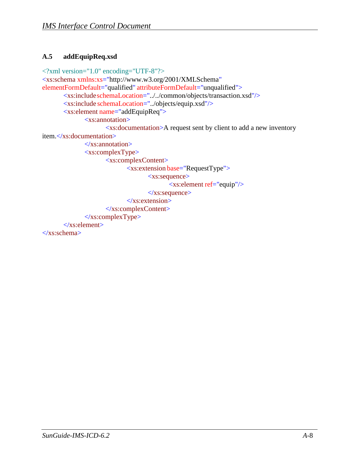#### <span id="page-24-0"></span>**A.5 addEquipReq.xsd**

```
<?xml version="1.0" encoding="UTF-8"?>
<xs:schema xmlns:xs="http://www.w3.org/2001/XMLSchema" 
elementFormDefault="qualified" attributeFormDefault="unqualified">
       <xs:includeschemaLocation="../../common/objects/transaction.xsd"/>
       <xs:include schemaLocation="../objects/equip.xsd"/>
       <xs:element name="addEquipReq">
              <xs:annotation>
                      <xs:documentation>A request sent by client to add a new inventory 
item.</xs:documentation>
              </xs:annotation>
              <xs:complexType>
                      <xs:complexContent>
                             \overline{\text{X}}s: extension base="RequestType">
                                    <xs:sequence>
                                           <xs:element ref="equip"/>
                                    </xs:sequence>
                             \langle xs: extension\rangle</xs:complexContent>
              \langle xs:complexType\rangle</xs:element>
</xs:schema>
```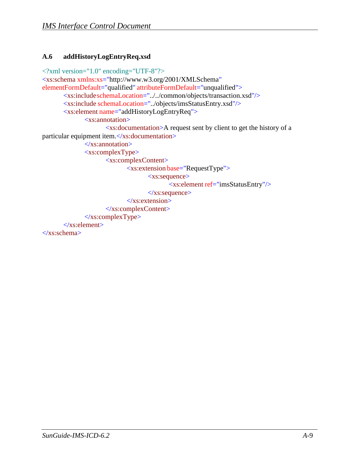#### <span id="page-25-0"></span>**A.6 addHistoryLogEntryReq.xsd**

```
<?xml version="1.0" encoding="UTF-8"?>
<xs:schema xmlns:xs="http://www.w3.org/2001/XMLSchema" 
elementFormDefault="qualified" attributeFormDefault="unqualified">
       <xs:includeschemaLocation="../../common/objects/transaction.xsd"/>
       <xs:include schemaLocation="../objects/imsStatusEntry.xsd"/>
       <xs:element name="addHistoryLogEntryReq">
              <xs:annotation>
                     <xs:documentation>A request sent by client to get the history of a 
particular equipment item.</xs:documentation>
              </xs:annotation>
              <xs:complexType>
                     <xs:complexContent>
                             <xs:extension base="RequestType">
                                    <xs:sequence>
                                           <xs:element ref="imsStatusEntry"/>
                                    \langle x \ranglexs:sequence
                             \langle xs: extension\rangle</xs:complexContent>
              \langle xs:complexType\rangle</xs:element>
</xs:schema>
```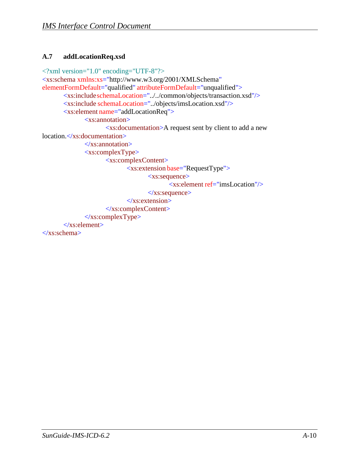#### <span id="page-26-0"></span>**A.7 addLocationReq.xsd**

```
<?xml version="1.0" encoding="UTF-8"?>
<xs:schema xmlns:xs="http://www.w3.org/2001/XMLSchema" 
elementFormDefault="qualified" attributeFormDefault="unqualified">
       <xs:includeschemaLocation="../../common/objects/transaction.xsd"/>
       <xs:include schemaLocation="../objects/imsLocation.xsd"/>
       <xs:element name="addLocationReq">
              <xs:annotation>
                      <xs:documentation>A request sent by client to add a new 
location.</xs:documentation>
              \langle x \ranglexs: annotation
              <xs:complexType>
                      <xs:complexContent>
                             <xs:extension base="RequestType">
                                     <xs:sequence>
                                            <xs:element ref="imsLocation"/>
                                     \langle x \ranglexs:sequence
                             \langle xs: extension\rangle</xs:complexContent>
              \langle xs:complexType\rangle</xs:element>
</xs:schema>
```
*SunGuide-IMS-ICD-6.2 A-*10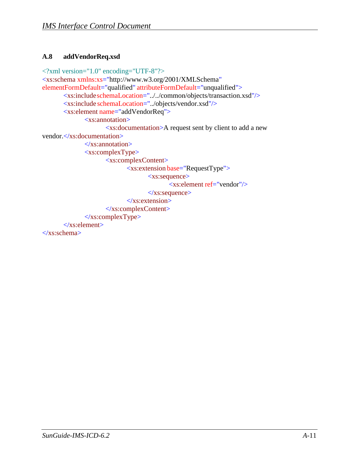#### <span id="page-27-0"></span>**A.8 addVendorReq.xsd**

```
<?xml version="1.0" encoding="UTF-8"?>
<xs:schema xmlns:xs="http://www.w3.org/2001/XMLSchema" 
elementFormDefault="qualified" attributeFormDefault="unqualified">
       <xs:includeschemaLocation="../../common/objects/transaction.xsd"/>
       <xs:include schemaLocation="../objects/vendor.xsd"/>
       <xs:element name="addVendorReq">
              <xs:annotation>
                      <xs:documentation>A request sent by client to add a new 
vendor.</xs:documentation>
              \langle xs: annotation
              <xs:complexType>
                      <xs:complexContent>
                             <xs:extension base="RequestType">
                                    <xs:sequence>
                                           <xs:element ref="vendor"/>
                                    \langle x \ranglexs:sequence
                             \langle xs: extension\rangle</xs:complexContent>
              \langle xs:complexType\rangle</xs:element>
</xs:schema>
```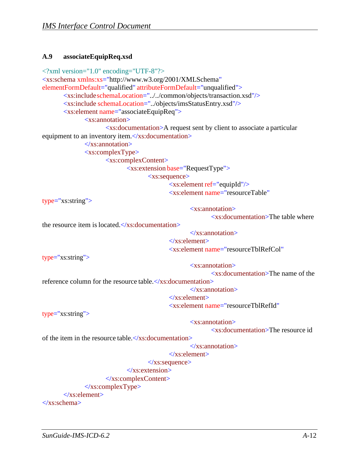#### <span id="page-28-0"></span>**A.9 associateEquipReq.xsd**

```
<?xml version="1.0" encoding="UTF-8"?>
<xs:schema xmlns:xs="http://www.w3.org/2001/XMLSchema" 
elementFormDefault="qualified" attributeFormDefault="unqualified">
       <xs:includeschemaLocation="../../common/objects/transaction.xsd"/>
       <xs:include schemaLocation="../objects/imsStatusEntry.xsd"/>
       <xs:element name="associateEquipReq">
              <xs:annotation>
                      <xs:documentation>A request sent by client to associate a particular 
equipment to an inventory item.</xs:documentation>
              </xs:annotation>
              <xs:complexType>
                      <xs:complexContent>
                             <xs:extension base="RequestType">
                                    <xs:sequence>
                                            <xs:element ref="equipId"/>
                                            <xs:element name="resourceTable"
type="xs:string">
the resource item is located.\langle x \rangles: documentation\rangle<xs:annotation>
                                                          <xs:documentation>The table where
                                                   </xs:annotation>
type="xs:string">
                                            </xs:element>
                                            <xs:element name="resourceTblRefCol"
                                                   <xs:annotation>
                                                          <xs:documentation>The name of the
reference column for the resource table.\langle x \rangles:documentation></xs:annotation>
                                            </xs:element>
                                            <xs:element name="resourceTblRefId"
type="xs:string">
                                                   <xs:annotation>
                                                          <xs:documentation>The resource id
of the item in the resource table.\langle x \rangles: documentation
                                                   </xs:annotation>
                                            </xs:element>
                                    \langle x \ranglexs:sequence
                             </xs:extension>
                      </xs:complexContent>
              </xs:complexType>
       </xs:element>
</xs:schema>
```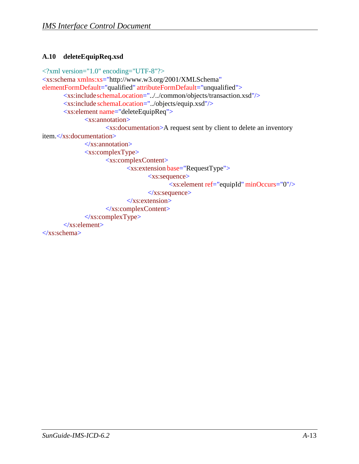#### <span id="page-29-0"></span>**A.10 deleteEquipReq.xsd**

```
<?xml version="1.0" encoding="UTF-8"?>
<xs:schema xmlns:xs="http://www.w3.org/2001/XMLSchema" 
elementFormDefault="qualified" attributeFormDefault="unqualified">
       <xs:includeschemaLocation="../../common/objects/transaction.xsd"/>
       <xs:include schemaLocation="../objects/equip.xsd"/>
       <xs:element name="deleteEquipReq">
              <xs:annotation>
                      <xs:documentation>A request sent by client to delete an inventory 
item.</xs:documentation>
              \langle xs: annotation
              <xs:complexType>
                      <xs:complexContent>
                             <xs:extension base="RequestType">
                                    <xs:sequence>
                                            <xs:element ref="equipId" minOccurs="0"/>
                                    \langle x \ranglexs:sequence
                             \langle xs: extension\rangle</xs:complexContent>
              \langle xs:complexType\rangle</xs:element>
```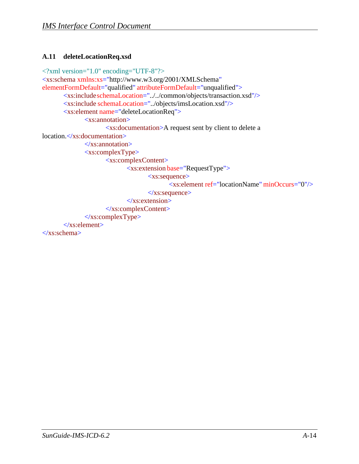#### <span id="page-30-0"></span>**A.11 deleteLocationReq.xsd**

```
<?xml version="1.0" encoding="UTF-8"?>
<xs:schema xmlns:xs="http://www.w3.org/2001/XMLSchema" 
elementFormDefault="qualified" attributeFormDefault="unqualified">
       <xs:includeschemaLocation="../../common/objects/transaction.xsd"/>
       <xs:include schemaLocation="../objects/imsLocation.xsd"/>
       <xs:element name="deleteLocationReq">
              <xs:annotation>
                      <xs:documentation>A request sent by client to delete a 
location.</xs:documentation>
              \langle x \ranglexs: annotation
               <xs:complexType>
                      <xs:complexContent>
                             <xs:extension base="RequestType">
                                     <xs:sequence>
                                            <xs:element ref="locationName" minOccurs="0"/>
                                     \langle x \ranglexs:sequence
                             \langle xs: extension\rangle</xs:complexContent>
               \langle xs:complexType\rangle</xs:element>
```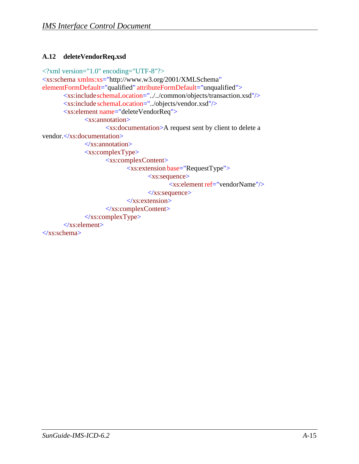#### <span id="page-31-0"></span>**A.12 deleteVendorReq.xsd**

```
<?xml version="1.0" encoding="UTF-8"?>
<xs:schema xmlns:xs="http://www.w3.org/2001/XMLSchema" 
elementFormDefault="qualified" attributeFormDefault="unqualified">
       <xs:includeschemaLocation="../../common/objects/transaction.xsd"/>
       <xs:include schemaLocation="../objects/vendor.xsd"/>
       <xs:element name="deleteVendorReq">
              <xs:annotation>
                      <xs:documentation>A request sent by client to delete a 
vendor.</xs:documentation>
              \langle xs: annotation
              <xs:complexType>
                      <xs:complexContent>
                             <xs:extension base="RequestType">
                                    <xs:sequence>
                                            <xs:element ref="vendorName"/>
                                    \langle x \ranglexs:sequence
                             \langle xs: extension\rangle</xs:complexContent>
              \langle xs:complexType\rangle</xs:element>
```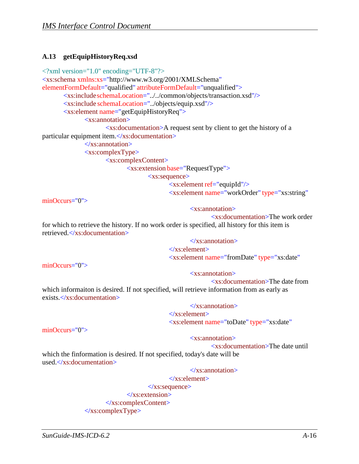#### <span id="page-32-0"></span>**A.13 getEquipHistoryReq.xsd**

```
<?xml version="1.0" encoding="UTF-8"?>
<xs:schema xmlns:xs="http://www.w3.org/2001/XMLSchema" 
elementFormDefault="qualified" attributeFormDefault="unqualified">
      <xs:includeschemaLocation="../../common/objects/transaction.xsd"/>
      <xs:include schemaLocation="../objects/equip.xsd"/>
       <xs:element name="getEquipHistoryReq">
             <xs:annotation>
                    <xs:documentation>A request sent by client to get the history of a 
particular equipment item.</xs:documentation>
             </xs:annotation>
             <xs:complexType>
                    <xs:complexContent>
                           <xs:extension base="RequestType">
                                  <xs:sequence>
                                         <xs:element ref="equipId"/>
                                         <xs:element name="workOrder" type="xs:string"
minOccurs="0">
```
<xs:annotation>

<xs:documentation>The work order for which to retrieve the history. If no work order is specified, all history for this item is retrieved.</xs:documentation>

> </xs:annotation> </xs:element> <xs:element name="fromDate" type="xs:date"

minOccurs="0">

<xs:annotation>

<xs:documentation>The date from which informaiton is desired. If not specified, will retrieve information from as early as exists </xs:documentation>

> $\langle x \rangle$ xs: annotation  $\langle x$ s: element $\rangle$ <xs:element name="toDate" type="xs:date"

minOccurs="0">

#### <xs:annotation>

<xs:documentation>The date until

which the finformation is desired. If not specified, today's date will be used </xs:documentation>

</xs:annotation>

</xs:element> </xs:sequence> </xs:extension> </xs:complexContent>  $\langle xs:complexType\rangle$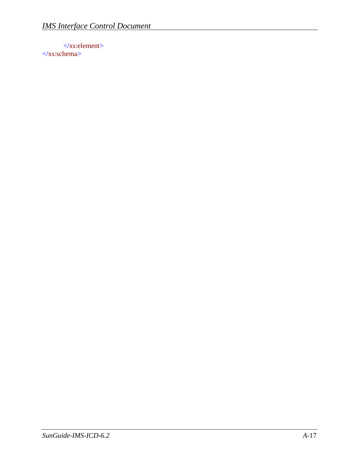$\langle x \rangle$ s: element </xs:schema>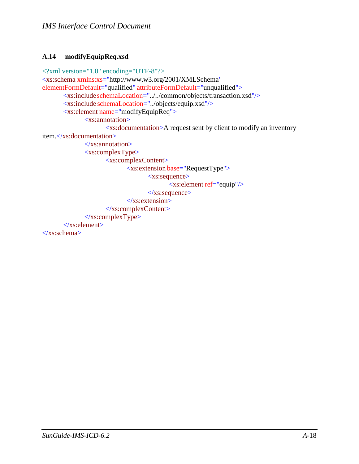#### <span id="page-34-0"></span>**A.14 modifyEquipReq.xsd**

```
<?xml version="1.0" encoding="UTF-8"?>
<xs:schema xmlns:xs="http://www.w3.org/2001/XMLSchema" 
elementFormDefault="qualified" attributeFormDefault="unqualified">
       <xs:includeschemaLocation="../../common/objects/transaction.xsd"/>
       <xs:include schemaLocation="../objects/equip.xsd"/>
       <xs:element name="modifyEquipReq">
              <xs:annotation>
                     <xs:documentation>A request sent by client to modify an inventory 
item.</xs:documentation>
              \langle xs: annotation
              <xs:complexType>
                     <xs:complexContent>
                            <xs:extension base="RequestType">
                                   <xs:sequence>
                                           <xs:element ref="equip"/>
                                   </xs:sequence>
                            \langle xs: extension\rangle</xs:complexContent>
              \langle xs:complexType\rangle</xs:element>
</xs:schema>
```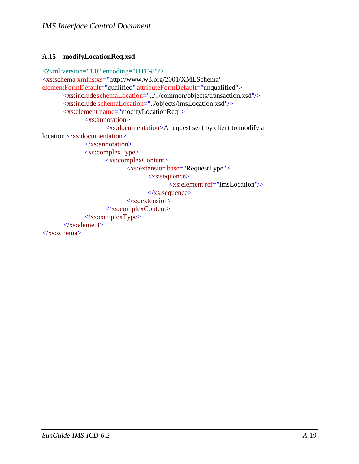#### <span id="page-35-0"></span>**A.15 modifyLocationReq.xsd**

```
<?xml version="1.0" encoding="UTF-8"?>
<xs:schema xmlns:xs="http://www.w3.org/2001/XMLSchema" 
elementFormDefault="qualified" attributeFormDefault="unqualified">
       <xs:includeschemaLocation="../../common/objects/transaction.xsd"/>
       <xs:include schemaLocation="../objects/imsLocation.xsd"/>
       <xs:element name="modifyLocationReq">
              <xs:annotation>
                      <xs:documentation>A request sent by client to modify a 
location.</xs:documentation>
              \langle x \ranglexs: annotation
              <xs:complexType>
                      <xs:complexContent>
                             <xs:extension base="RequestType">
                                     <xs:sequence>
                                            <xs:element ref="imsLocation"/>
                                     \langle x \ranglexs:sequence
                             \langle xs: extension\rangle</xs:complexContent>
              \langle xs:complexType\rangle</xs:element>
</xs:schema>
```
*SunGuide-IMS-ICD-6.2 A-*19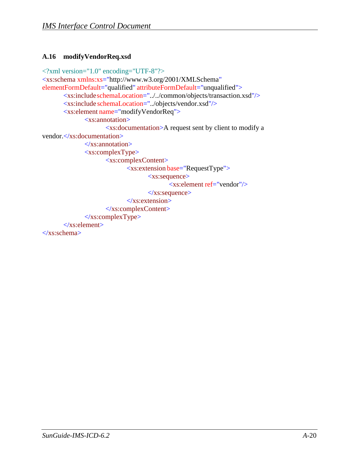#### <span id="page-36-0"></span>**A.16 modifyVendorReq.xsd**

```
<?xml version="1.0" encoding="UTF-8"?>
<xs:schema xmlns:xs="http://www.w3.org/2001/XMLSchema" 
elementFormDefault="qualified" attributeFormDefault="unqualified">
       <xs:includeschemaLocation="../../common/objects/transaction.xsd"/>
       <xs:include schemaLocation="../objects/vendor.xsd"/>
       <xs:element name="modifyVendorReq">
              <xs:annotation>
                      <xs:documentation>A request sent by client to modify a 
vendor.</xs:documentation>
              \langle xs: annotation
              <xs:complexType>
                      <xs:complexContent>
                             <xs:extension base="RequestType">
                                    <xs:sequence>
                                           <xs:element ref="vendor"/>
                                    \langle x \ranglexs:sequence
                             \langle xs: extension\rangle</xs:complexContent>
              \langle xs:complexType\rangle</xs:element>
</xs:schema>
```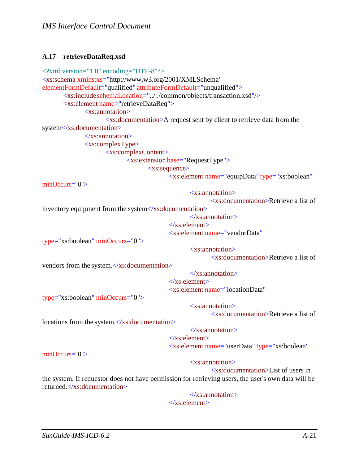#### <span id="page-37-0"></span>**A.17 retrieveDataReq.xsd**

```
<?xml version="1.0" encoding="UTF-8"?>
<xs:schema xmlns:xs="http://www.w3.org/2001/XMLSchema" 
elementFormDefault="qualified" attributeFormDefault="unqualified">
       <xs:includeschemaLocation="../../common/objects/transaction.xsd"/>
       <xs:element name="retrieveDataReq">
              <xs:annotation>
                     <xs:documentation>A request sent by client to retrieve data from the 
system</xs:documentation>
              \langle x \ranglexs: annotation
              <xs:complexType>
                     <xs:complexContent>
                            <xs:extension base="RequestType">
                                   <xs:sequence>
                                          <xs:element name="equipData" type="xs:boolean"
minOccurs="0">
                                                 <xs:annotation>
                                                        <xs:documentation>Retrieve a list of
inventory equipment from the system</xs:documentation>
                                                 </xs:annotation>
                                          </xs:element>
                                          <xs:element name="vendorData"
type="xs:boolean" minOccurs="0">
vendors from the system.</xs:documentation>
                                                 <xs:annotation>
                                                        <xs:documentation>Retrieve a list of
                                                 </xs:annotation>
type="xs:boolean" minOccurs="0">
                                          </xs:element>
                                          <xs:element name="locationData"
                                                 <xs:annotation>
                                                        <xs:documentation>Retrieve a list of
locations from the system.</xs:documentation>
                                                 </xs:annotation>
minOccurs="0">
                                          </xs:element>
                                          <xs:element name="userData" type="xs:boolean"
                                                 <xs:annotation>
                                                        <xs:documentation>List of users in
the system. If requestor does not have permission for retrieving users, the user's own data will be 
returned.</xs:documentation>
                                                 </xs:annotation>
                                          </xs:element>
```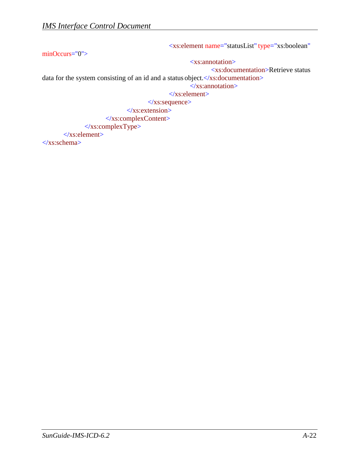minOccurs="0"> <xs:element name="statusList" type="xs:boolean" <xs:annotation> <xs:documentation>Retrieve status data for the system consisting of an id and a status object. </xs:documentation> </xs:annotation>  $\langle$ xs:element $\rangle$ </xs:sequence> </xs:extension> </xs:complexContent>  $\langle xs:complexType \rangle$ </xs:element>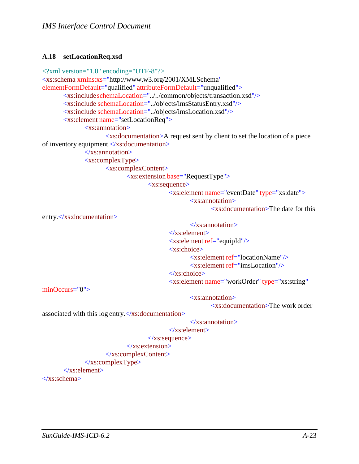#### <span id="page-39-0"></span>**A.18 setLocationReq.xsd**

```
<?xml version="1.0" encoding="UTF-8"?>
<xs:schema xmlns:xs="http://www.w3.org/2001/XMLSchema" 
elementFormDefault="qualified" attributeFormDefault="unqualified">
      <xs:includeschemaLocation="../../common/objects/transaction.xsd"/>
      <xs:include schemaLocation="../objects/imsStatusEntry.xsd"/>
       <xs:include schemaLocation="../objects/imsLocation.xsd"/>
       <xs:element name="setLocationReq">
             <xs:annotation>
                    <xs:documentation>A request sent by client to set the location of a piece 
of inventory equipment.</xs:documentation>
             </xs:annotation>
             <xs:complexType>
                    <xs:complexContent>
                           <xs:extension base="RequestType">
                                  <xs:sequence>
                                         <xs:element name="eventDate" type="xs:date">
                                                <xs:annotation>
                                                       <xs:documentation>The date for this
entry.</xs:documentation>
minOccurs="0">
                                                 </xs:annotation>
                                         </xs:element>
                                         <xs:element ref="equipId"/>
                                         <xs:choice>
                                                <xs:element ref="locationName"/>
                                                <xs:element ref="imsLocation"/>
                                         </xs:choice>
                                         <xs:element name="workOrder" type="xs:string"
                                                <xs:annotation>
                                                       <xs:documentation>The work order
```
associated with this  $log$  entry. $\langle x \rangle$ xs:documentation $>$ 

```
</xs:annotation>
```

```
</xs:element>
```

```
\langle x \ranglexs:sequence
```

```
</xs:extension>
</xs:complexContent>
```

```
</xs:complexType>
```

```
</xs:element>
```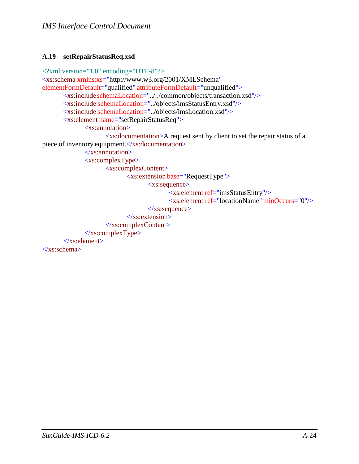#### <span id="page-40-0"></span>**A.19 setRepairStatusReq.xsd**

```
<?xml version="1.0" encoding="UTF-8"?>
<xs:schema xmlns:xs="http://www.w3.org/2001/XMLSchema" 
elementFormDefault="qualified" attributeFormDefault="unqualified">
       <xs:includeschemaLocation="../../common/objects/transaction.xsd"/>
       <xs:include schemaLocation="../objects/imsStatusEntry.xsd"/>
       <xs:include schemaLocation="../objects/imsLocation.xsd"/>
       <xs:element name="setRepairStatusReq">
              <xs:annotation>
                     <xs:documentation>A request sent by client to set the repair status of a 
piece of inventory equipment. </xs:documentation>
              </xs:annotation>
              <xs:complexType>
                     <xs:complexContent>
                            <xs:extension base="RequestType">
                                    <xs:sequence>
                                           <xs:element ref="imsStatusEntry"/>
                                           <xs:element ref="locationName" minOccurs="0"/>
                                    \langle x \ranglexs:sequence
                            \langle xs: extension\rangle</xs:complexContent>
              </xs:complexType>
       </xs:element>
</xs:schema>
```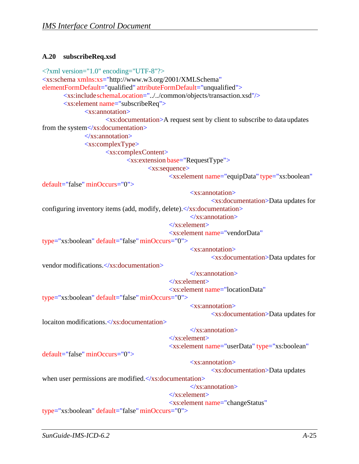#### <span id="page-41-0"></span>**A.20 subscribeReq.xsd**

```
<?xml version="1.0" encoding="UTF-8"?>
<xs:schema xmlns:xs="http://www.w3.org/2001/XMLSchema" 
elementFormDefault="qualified" attributeFormDefault="unqualified">
       <xs:includeschemaLocation="../../common/objects/transaction.xsd"/>
       <xs:element name="subscribeReq">
              <xs:annotation>
                     <xs:documentation>A request sent by client to subscribe to data updates 
from the system</xs:documentation>
              \langle x \ranglexs: annotation
              <xs:complexType>
                     <xs:complexContent>
                             <xs:extension base="RequestType">
                                    <xs:sequence>
                                           <xs:element name="equipData" type="xs:boolean"
default="false" minOccurs="0">
                                                  <xs:annotation>
                                                          <xs:documentation>Data updates for
configuring inventory items (add, modify, delete). \langle x \rangle xs: documentation
                                                   </xs:annotation>
                                           </xs:element>
                                           <xs:element name="vendorData" 
type="xs:boolean" default="false" minOccurs="0">
vendor modifications.</xs:documentation>
                                                  <xs:annotation>
                                                          <xs:documentation>Data updates for
                                                   \langle xs: annotation\rangle</xs:element>
                                           <xs:element name="locationData"
type="xs:boolean" default="false" minOccurs="0">
locaiton modifications.</xs:documentation>
                                                   <xs:annotation>
                                                          <xs:documentation>Data updates for
                                                   </xs:annotation>
default="false" minOccurs="0">
                                           </xs:element>
                                           <xs:element name="userData" type="xs:boolean"
                                                  <xs:annotation>
                                                          <xs:documentation>Data updates
when user permissions are modified.\langle x \ranglexs:documentation>
                                                   </xs:annotation>
                                           </xs:element>
                                           <xs:element name="changeStatus" 
type="xs:boolean" default="false" minOccurs="0">
```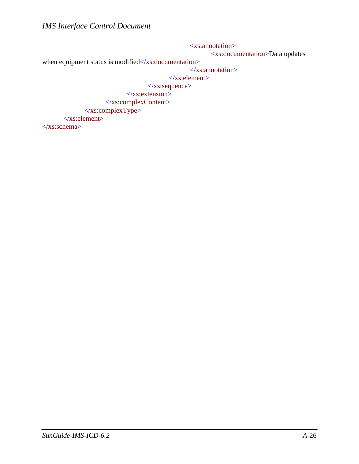<xs:annotation> <xs:documentation>Data updates when equipment status is modified</xs:documentation> </xs:annotation>  $\langle x \rangle$ s: element </xs:sequence>  $\langle$ xs:extension> </xs:complexContent>  $\langle x$ s:complexType> </xs:element> </xs:schema>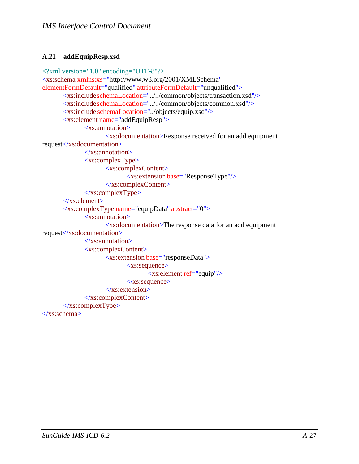#### <span id="page-43-0"></span>**A.21 addEquipResp.xsd**

```
<?xml version="1.0" encoding="UTF-8"?>
<xs:schema xmlns:xs="http://www.w3.org/2001/XMLSchema" 
elementFormDefault="qualified" attributeFormDefault="unqualified">
       <xs:includeschemaLocation="../../common/objects/transaction.xsd"/>
       <xs:includeschemaLocation="../../common/objects/common.xsd"/>
       <xs:include schemaLocation="../objects/equip.xsd"/>
       <xs:element name="addEquipResp">
              <xs:annotation>
                     <xs:documentation>Response received for an add equipment 
request</xs:documentation>
              \langle xs: annotation
              <xs:complexType>
                     <xs:complexContent>
                            <xs:extension base="ResponseType"/>
                     </xs:complexContent>
              </xs:complexType>
       \langlexs:element\rangle<xs:complexType name="equipData" abstract="0">
              <xs:annotation>
                     <xs:documentation>The response data for an add equipment 
request</xs:documentation>
              </xs:annotation>
              <xs:complexContent>
                     <xs:extension base="responseData">
                            <xs:sequence>
                                   <xs:element ref="equip"/>
                            \langle x \ranglexs:sequence
                     </xs:extension>
              </xs:complexContent>
       \langle xs:complexType\rangle</xs:schema>
```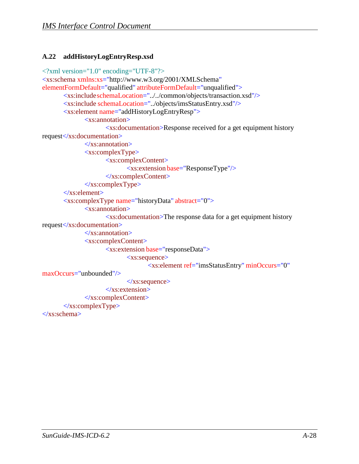#### <span id="page-44-0"></span>**A.22 addHistoryLogEntryResp.xsd**

```
<?xml version="1.0" encoding="UTF-8"?>
<xs:schema xmlns:xs="http://www.w3.org/2001/XMLSchema" 
elementFormDefault="qualified" attributeFormDefault="unqualified">
       <xs:includeschemaLocation="../../common/objects/transaction.xsd"/>
       <xs:include schemaLocation="../objects/imsStatusEntry.xsd"/>
       <xs:element name="addHistoryLogEntryResp">
              <xs:annotation>
                     <xs:documentation>Response received for a get equipment history 
request</xs:documentation>
              \langle x \ranglexs: annotation
              <xs:complexType>
                     <xs:complexContent>
                             <xs:extension base="ResponseType"/>
                     </xs:complexContent>
              </xs:complexType>
       </xs:element>
       <xs:complexType name="historyData" abstract="0">
              <xs:annotation>
                     <xs:documentation>The response data for a get equipment history 
request</xs:documentation>
              \langle x \ranglexs: annotation
              <xs:complexContent>
                     <xs:extension base="responseData">
                             <xs:sequence>
                                    <xs:element ref="imsStatusEntry" minOccurs="0"
maxOccurs="unbounded"/>
                             \langle x \ranglexs:sequence
                     </xs:extension>
              </xs:complexContent>
       \langle xs:complexType\rangle</xs:schema>
```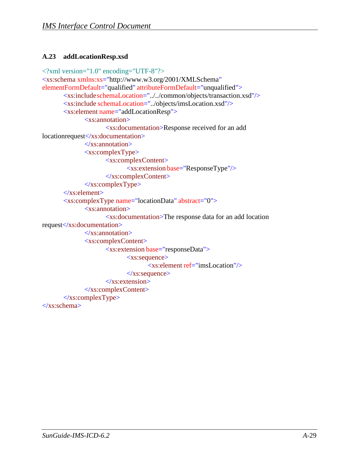#### <span id="page-45-0"></span>**A.23 addLocationResp.xsd**

```
<?xml version="1.0" encoding="UTF-8"?>
<xs:schema xmlns:xs="http://www.w3.org/2001/XMLSchema" 
elementFormDefault="qualified" attributeFormDefault="unqualified">
       <xs:includeschemaLocation="../../common/objects/transaction.xsd"/>
       <xs:include schemaLocation="../objects/imsLocation.xsd"/>
       <xs:element name="addLocationResp">
             <xs:annotation>
                     <xs:documentation>Response received for an add 
locationrequest</xs:documentation>
              </xs:annotation>
              <xs:complexType>
                     <xs:complexContent>
                           <xs:extension base="ResponseType"/>
                     </xs:complexContent>
              </xs:complexType>
       </xs:element>
       <xs:complexType name="locationData" abstract="0">
              <xs:annotation>
                     <xs:documentation>The response data for an add location 
request</xs:documentation>
             \langle xs: annotation
              <xs:complexContent>
                     <xs:extension base="responseData">
                            <xs:sequence>
                                  <xs:element ref="imsLocation"/>
                            \langle x \ranglexs:sequence
                     </xs:extension>
              </xs:complexContent>
       </xs:complexType>
</xs:schema>
```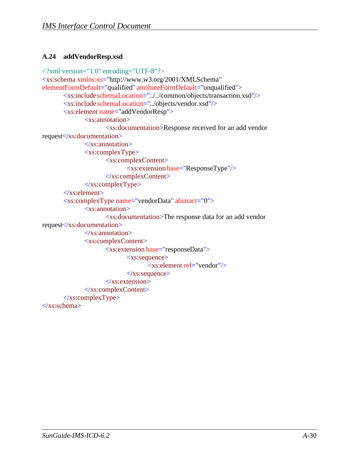#### <span id="page-46-0"></span>**A.24 addVendorResp.xsd**

```
<?xml version="1.0" encoding="UTF-8"?>
<xs:schema xmlns:xs="http://www.w3.org/2001/XMLSchema" 
elementFormDefault="qualified" attributeFormDefault="unqualified">
       <xs:includeschemaLocation="../../common/objects/transaction.xsd"/>
       <xs:include schemaLocation="../objects/vendor.xsd"/>
       <xs:element name="addVendorResp">
              <xs:annotation>
                     <xs:documentation>Response received for an add vendor 
request</xs:documentation>
              \langle x \ranglexs: annotation
              <xs:complexType>
                     <xs:complexContent>
                            <xs:extension base="ResponseType"/>
                     </xs:complexContent>
              </xs:complexType>
       </xs:element>
       <xs:complexType name="vendorData" abstract="0">
              <xs:annotation>
                     <xs:documentation>The response data for an add vendor 
request</xs:documentation>
              \langle xs: annotation
              <xs:complexContent>
                     <xs:extension base="responseData">
                            <xs:sequence>
                                   <xs:element ref="vendor"/>
                            \langle x \ranglexs:sequence
                     </xs:extension>
              </xs:complexContent>
       </xs:complexType>
</xs:schema>
```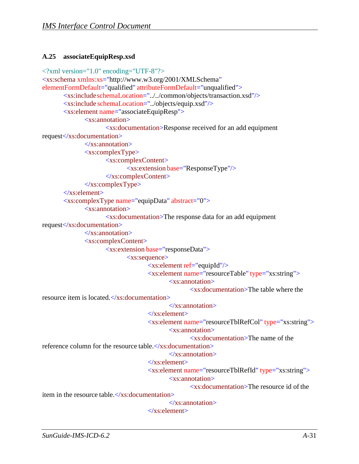#### <span id="page-47-0"></span>**A.25 associateEquipResp.xsd**

```
<?xml version="1.0" encoding="UTF-8"?>
<xs:schema xmlns:xs="http://www.w3.org/2001/XMLSchema" 
elementFormDefault="qualified" attributeFormDefault="unqualified">
       <xs:includeschemaLocation="../../common/objects/transaction.xsd"/>
       <xs:include schemaLocation="../objects/equip.xsd"/>
       <xs:element name="associateEquipResp">
              <xs:annotation>
                     <xs:documentation>Response received for an add equipment 
request</xs:documentation>
              \langle x \ranglexs: annotation
              <xs:complexType>
                     <xs:complexContent>
                             <xs:extension base="ResponseType"/>
                     </xs:complexContent>
              </xs:complexType>
       </xs:element>
       <xs:complexType name="equipData" abstract="0">
              <xs:annotation>
                     <xs:documentation>The response data for an add equipment 
request</xs:documentation>
              \langle x \ranglexs: annotation
              <xs:complexContent>
                     <xs:extension base="responseData">
                             <xs:sequence>
                                    <xs:element ref="equipId"/>
                                    <xs:element name="resourceTable" type="xs:string">
                                           <xs:annotation>
                                                   <xs:documentation>The table where the
resource item is located.</xs:documentation>
                                           </xs:annotation>
                                    </xs:element>
                                    <xs:element name="resourceTblRefCol" type="xs:string">
                                           <xs:annotation>
                                                   <xs:documentation>The name of the 
reference column for the resource table.\langle x \rangles: documentation
                                           </xs:annotation>
                                    </xs:element>
                                    <xs:element name="resourceTblRefId" type="xs:string">
                                           <xs:annotation>
                                                   <xs:documentation>The resource id of the
item in the resource table.\langle x \cdot \rangle documentations
                                           </xs:annotation>
                                    </xs:element>
```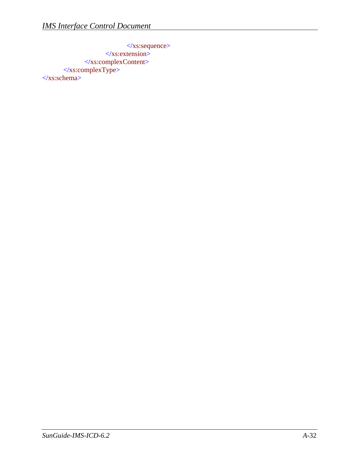</xs:sequence>  $\langle x$ s:extension> </xs:complexContent> </xs:complexType> </xs:schema>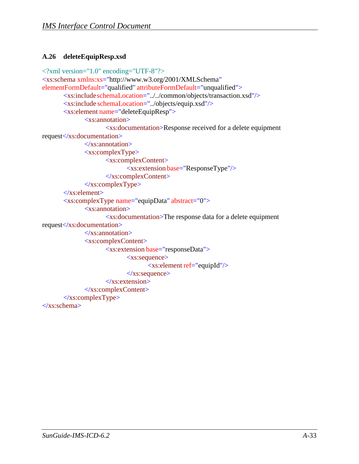#### <span id="page-49-0"></span>**A.26 deleteEquipResp.xsd**

```
<?xml version="1.0" encoding="UTF-8"?>
<xs:schema xmlns:xs="http://www.w3.org/2001/XMLSchema" 
elementFormDefault="qualified" attributeFormDefault="unqualified">
       <xs:includeschemaLocation="../../common/objects/transaction.xsd"/>
       <xs:include schemaLocation="../objects/equip.xsd"/>
       <xs:element name="deleteEquipResp">
              <xs:annotation>
                     <xs:documentation>Response received for a delete equipment 
request</xs:documentation>
              \langle x \ranglexs: annotation
              <xs:complexType>
                     <xs:complexContent>
                            <xs:extension base="ResponseType"/>
                     </xs:complexContent>
              </xs:complexType>
       </xs:element>
       <xs:complexType name="equipData" abstract="0">
              <xs:annotation>
                     <xs:documentation>The response data for a delete equipment 
request</xs:documentation>
              \langle xs: annotation
              <xs:complexContent>
                     <xs:extension base="responseData">
                            <xs:sequence>
                                   <xs:element ref="equipId"/>
                            </xs:sequence>
                     </xs:extension>
              </xs:complexContent>
       </xs:complexType>
</xs:schema>
```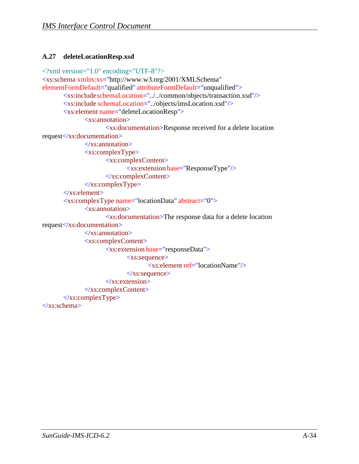#### <span id="page-50-0"></span>**A.27 deleteLocationResp.xsd**

```
<?xml version="1.0" encoding="UTF-8"?>
<xs:schema xmlns:xs="http://www.w3.org/2001/XMLSchema" 
elementFormDefault="qualified" attributeFormDefault="unqualified">
       <xs:includeschemaLocation="../../common/objects/transaction.xsd"/>
       <xs:include schemaLocation="../objects/imsLocation.xsd"/>
       <xs:element name="deleteLocationResp">
              <xs:annotation>
                     <xs:documentation>Response received for a delete location 
request</xs:documentation>
              \langle x \ranglexs: annotation
              <xs:complexType>
                     <xs:complexContent>
                            <xs:extension base="ResponseType"/>
                     </xs:complexContent>
              </xs:complexType>
       </xs:element>
       <xs:complexType name="locationData" abstract="0">
              <xs:annotation>
                     <xs:documentation>The response data for a delete location 
request</xs:documentation>
              \langle xs: annotation
              <xs:complexContent>
                     <xs:extension base="responseData">
                            <xs:sequence>
                                   <xs:element ref="locationName"/>
                            \langle x \ranglexs:sequence
                     </xs:extension>
              </xs:complexContent>
       </xs:complexType>
</xs:schema>
```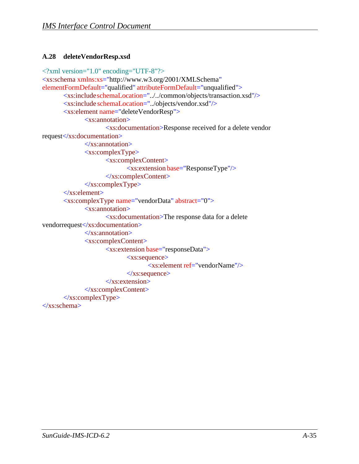#### <span id="page-51-0"></span>**A.28 deleteVendorResp.xsd**

```
<?xml version="1.0" encoding="UTF-8"?>
<xs:schema xmlns:xs="http://www.w3.org/2001/XMLSchema" 
elementFormDefault="qualified" attributeFormDefault="unqualified">
       <xs:includeschemaLocation="../../common/objects/transaction.xsd"/>
       <xs:include schemaLocation="../objects/vendor.xsd"/>
       <xs:element name="deleteVendorResp">
              <xs:annotation>
                     <xs:documentation>Response received for a delete vendor 
request</xs:documentation>
              \langle x \ranglexs: annotation
              <xs:complexType>
                     <xs:complexContent>
                            <xs:extension base="ResponseType"/>
                     </xs:complexContent>
              </xs:complexType>
       </xs:element>
       <xs:complexType name="vendorData" abstract="0">
              <xs:annotation>
                     <xs:documentation>The response data for a delete 
vendorrequest</xs:documentation>
              \langle x \ranglexs: annotation
              <xs:complexContent>
                     <xs:extension base="responseData">
                            <xs:sequence>
                                   <xs:element ref="vendorName"/>
                            \langle x \ranglexs:sequence
                     </xs:extension>
              </xs:complexContent>
       </xs:complexType>
</xs:schema>
```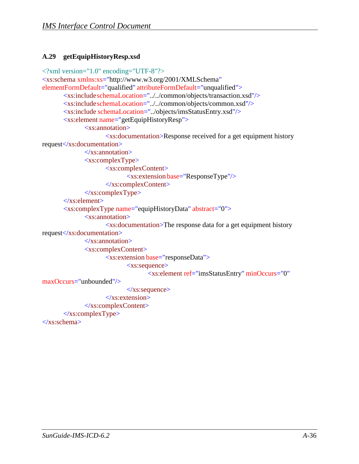#### <span id="page-52-0"></span>**A.29 getEquipHistoryResp.xsd**

```
<?xml version="1.0" encoding="UTF-8"?>
<xs:schema xmlns:xs="http://www.w3.org/2001/XMLSchema" 
elementFormDefault="qualified" attributeFormDefault="unqualified">
       <xs:includeschemaLocation="../../common/objects/transaction.xsd"/>
       <xs:includeschemaLocation="../../common/objects/common.xsd"/>
       <xs:include schemaLocation="../objects/imsStatusEntry.xsd"/>
       <xs:element name="getEquipHistoryResp">
              <xs:annotation>
                     <xs:documentation>Response received for a get equipment history 
request</xs:documentation>
              \langle xs: annotation
              <xs:complexType>
                     <xs:complexContent>
                             <xs:extension base="ResponseType"/>
                     </xs:complexContent>
              </xs:complexType>
       \langlexs:element\rangle<xs:complexType name="equipHistoryData" abstract="0">
              <xs:annotation>
                     <xs:documentation>The response data for a get equipment history 
request</xs:documentation>
              </xs:annotation>
              <xs:complexContent>
                     <xs:extension base="responseData">
                            <xs:sequence>
                                    <xs:element ref="imsStatusEntry" minOccurs="0"
maxOccurs="unbounded"/>
                            \langle x \ranglexs:sequence
                     \langle xs: extension\rangle</xs:complexContent>
       \langle xs:complexType\rangle</xs:schema>
```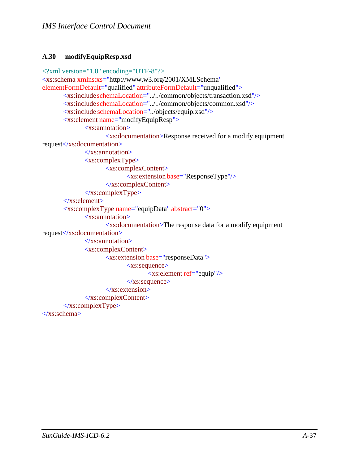#### <span id="page-53-0"></span>**A.30 modifyEquipResp.xsd**

```
<?xml version="1.0" encoding="UTF-8"?>
<xs:schema xmlns:xs="http://www.w3.org/2001/XMLSchema" 
elementFormDefault="qualified" attributeFormDefault="unqualified">
       <xs:includeschemaLocation="../../common/objects/transaction.xsd"/>
       <xs:includeschemaLocation="../../common/objects/common.xsd"/>
       <xs:include schemaLocation="../objects/equip.xsd"/>
       <xs:element name="modifyEquipResp">
              <xs:annotation>
                     <xs:documentation>Response received for a modify equipment 
request</xs:documentation>
              \langle xs: annotation
              <xs:complexType>
                     <xs:complexContent>
                            <xs:extension base="ResponseType"/>
                     </xs:complexContent>
              </xs:complexType>
       \langlexs:element\rangle<xs:complexType name="equipData" abstract="0">
              <xs:annotation>
                     <xs:documentation>The response data for a modify equipment 
request</xs:documentation>
              </xs:annotation>
              <xs:complexContent>
                     <xs:extension base="responseData">
                            <xs:sequence>
                                   <xs:element ref="equip"/>
                            \langle x \ranglexs:sequence
                     </xs:extension>
              </xs:complexContent>
       \langle xs:complexType\rangle</xs:schema>
```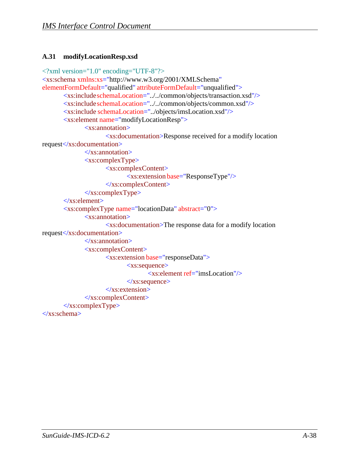#### <span id="page-54-0"></span>**A.31 modifyLocationResp.xsd**

```
<?xml version="1.0" encoding="UTF-8"?>
<xs:schema xmlns:xs="http://www.w3.org/2001/XMLSchema" 
elementFormDefault="qualified" attributeFormDefault="unqualified">
       <xs:includeschemaLocation="../../common/objects/transaction.xsd"/>
       <xs:includeschemaLocation="../../common/objects/common.xsd"/>
       <xs:include schemaLocation="../objects/imsLocation.xsd"/>
       <xs:element name="modifyLocationResp">
              <xs:annotation>
                     <xs:documentation>Response received for a modify location 
request</xs:documentation>
              \langle xs: annotation
              <xs:complexType>
                     <xs:complexContent>
                            <xs:extension base="ResponseType"/>
                     </xs:complexContent>
              </xs:complexType>
       \langlexs:element\rangle<xs:complexType name="locationData" abstract="0">
              <xs:annotation>
                     <xs:documentation>The response data for a modify location 
request</xs:documentation>
              </xs:annotation>
              <xs:complexContent>
                     <xs:extension base="responseData">
                            <xs:sequence>
                                   <xs:element ref="imsLocation"/>
                            \langle x \ranglexs:sequence
                     </xs:extension>
              </xs:complexContent>
       \langle xs:complexType\rangle</xs:schema>
```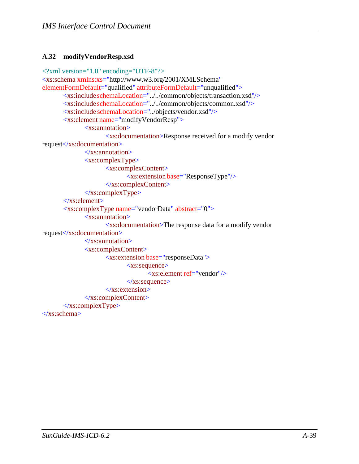#### <span id="page-55-0"></span>**A.32 modifyVendorResp.xsd**

```
<?xml version="1.0" encoding="UTF-8"?>
<xs:schema xmlns:xs="http://www.w3.org/2001/XMLSchema" 
elementFormDefault="qualified" attributeFormDefault="unqualified">
       <xs:includeschemaLocation="../../common/objects/transaction.xsd"/>
       <xs:includeschemaLocation="../../common/objects/common.xsd"/>
       <xs:include schemaLocation="../objects/vendor.xsd"/>
       <xs:element name="modifyVendorResp">
              <xs:annotation>
                     <xs:documentation>Response received for a modify vendor 
request</xs:documentation>
              \langle xs: annotation
              <xs:complexType>
                     <xs:complexContent>
                            <xs:extension base="ResponseType"/>
                     </xs:complexContent>
              </xs:complexType>
       \langlexs:element\rangle<xs:complexType name="vendorData" abstract="0">
              <xs:annotation>
                     <xs:documentation>The response data for a modify vendor 
request</xs:documentation>
              </xs:annotation>
              <xs:complexContent>
                     <xs:extension base="responseData">
                            <xs:sequence>
                                   <xs:element ref="vendor"/>
                            \langle x \ranglexs:sequence
                     </xs:extension>
              </xs:complexContent>
       \langle xs:complexType\rangle</xs:schema>
```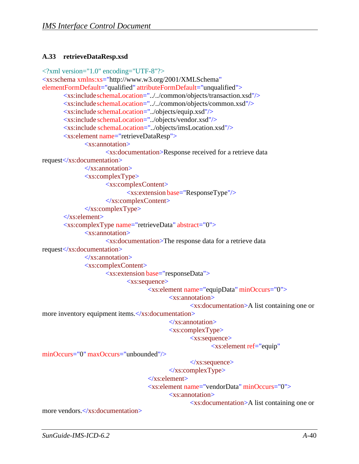#### <span id="page-56-0"></span>**A.33 retrieveDataResp.xsd**

```
<?xml version="1.0" encoding="UTF-8"?>
<xs:schema xmlns:xs="http://www.w3.org/2001/XMLSchema" 
elementFormDefault="qualified" attributeFormDefault="unqualified">
       <xs:includeschemaLocation="../../common/objects/transaction.xsd"/>
       <xs:includeschemaLocation="../../common/objects/common.xsd"/>
       <xs:include schemaLocation="../objects/equip.xsd"/>
       <xs:include schemaLocation="../objects/vendor.xsd"/>
       <xs:include schemaLocation="../objects/imsLocation.xsd"/>
       <xs:element name="retrieveDataResp">
              <xs:annotation>
                     <xs:documentation>Response received for a retrieve data 
request</xs:documentation>
              </xs:annotation>
              <xs:complexType>
                     <xs:complexContent>
                            <xs:extension base="ResponseType"/>
                     </xs:complexContent>
              \langle xs:complexType\rangle\langlexs:element\rangle<xs:complexType name="retrieveData" abstract="0">
              <xs:annotation>
                     <xs:documentation>The response data for a retrieve data 
request</xs:documentation>
              \langle xs: annotation
              <xs:complexContent>
                     <xs:extension base="responseData">
                            <xs:sequence>
                                   <xs:element name="equipData" minOccurs="0">
                                           <xs:annotation>
                                                  <xs:documentation>A list containing one or 
more inventory equipment items.</xs:documentation>
                                           \langle x \ranglexs: annotation
                                           <xs:complexType>
                                                  <xs:sequence>
                                                         <xs:element ref="equip"
minOccurs="0" maxOccurs="unbounded"/>
                                                  </xs:sequence>
                                           \langle xs:complexType\ranglemore vendors.</xs:documentation>
                                    </xs:element>
                                    <xs:element name="vendorData" minOccurs="0">
                                           <xs:annotation>
                                                  <xs:documentation>A list containing one or
```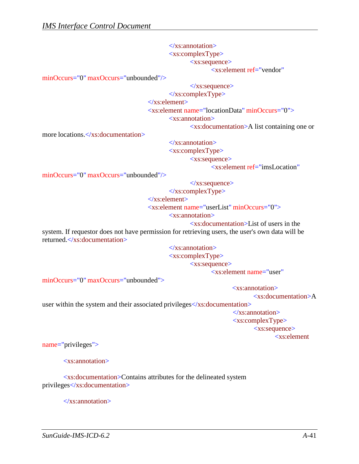</xs:annotation> <xs:complexType> <xs:sequence>

<xs:element ref="vendor"

minOccurs="0" maxOccurs="unbounded"/>

</xs:sequence>

</xs:complexType>

</xs:element>

<xs:element name="locationData" minOccurs="0">

<xs:annotation>

<xs:documentation>A list containing one or

more locations.</xs:documentation>

</xs:annotation> <xs:complexType>

<xs:sequence>

<xs:element ref="imsLocation"

minOccurs="0" maxOccurs="unbounded"/>

</xs:sequence>

</xs:complexType>

</xs:element>

<xs:element name="userList" minOccurs="0">

<xs:annotation>

<xs:documentation>List of users in the

system. If requestor does not have permission for retrieving users, the user's own data will be returned.</xs:documentation>

> </xs:annotation> <xs:complexType> <xs:sequence>

<xs:element name="user"

minOccurs="0" maxOccurs="unbounded">

<xs:annotation>

<xs:documentation>A

user within the system and their associated privileges</xs:documentation>

</xs:annotation> <xs:complexType> <xs:sequence> <xs:element

name="privileges">

<xs:annotation>

<xs:documentation>Contains attributes for the delineated system privileges</xs:documentation>

 $\langle x \rangle$ xs: annotation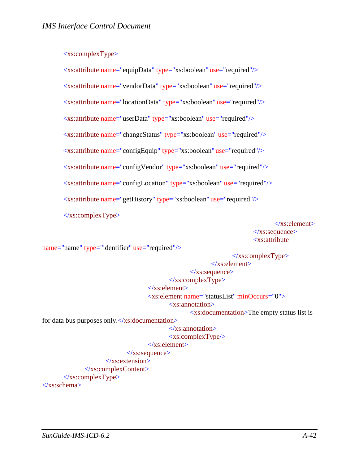#### <xs:complexType>

<xs:attribute name="equipData" type="xs:boolean" use="required"/>

<xs:attribute name="vendorData" type="xs:boolean" use="required"/>

<xs:attribute name="locationData" type="xs:boolean" use="required"/>

<xs:attribute name="userData" type="xs:boolean" use="required"/>

<xs:attribute name="changeStatus" type="xs:boolean" use="required"/>

<xs:attribute name="configEquip" type="xs:boolean" use="required"/>

<xs:attribute name="configVendor" type="xs:boolean" use="required"/>

<xs:attribute name="configLocation" type="xs:boolean" use="required"/>

<xs:attribute name="getHistory" type="xs:boolean" use="required"/>

</xs:complexType>

</xs:element> </xs:sequence> <xs:attribute

name="name" type="identifier" use="required"/>

 $\langle xs:complexType\rangle$ </xs:element> </xs:sequence> </xs:complexType> </xs:element> <xs:element name="statusList" minOccurs="0"> <xs:annotation> <xs:documentation>The empty status list is for data bus purposes only. $\langle x$ s: documentation> </xs:annotation> <xs:complexType/> </xs:element>  $\langle x \rangle$ xs:sequence </xs:extension> </xs:complexContent>  $\langle xs:complexType\rangle$ </xs:schema>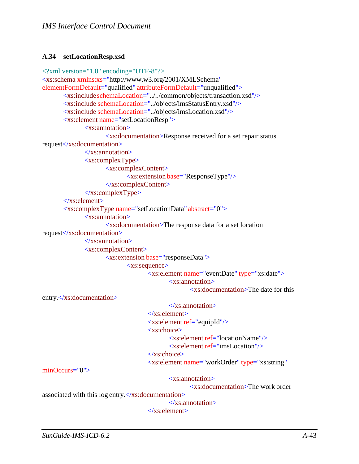#### <span id="page-59-0"></span>**A.34 setLocationResp.xsd**

```
<?xml version="1.0" encoding="UTF-8"?>
<xs:schema xmlns:xs="http://www.w3.org/2001/XMLSchema" 
elementFormDefault="qualified" attributeFormDefault="unqualified">
       <xs:includeschemaLocation="../../common/objects/transaction.xsd"/>
       <xs:include schemaLocation="../objects/imsStatusEntry.xsd"/>
       <xs:include schemaLocation="../objects/imsLocation.xsd"/>
       <xs:element name="setLocationResp">
              <xs:annotation>
                     <xs:documentation>Response received for a set repair status 
request</xs:documentation>
              \langle x \ranglexs: annotation
              <xs:complexType>
                     <xs:complexContent>
                             <xs:extension base="ResponseType"/>
                     </xs:complexContent>
              </xs:complexType>
       \langlexs:element\rangle<xs:complexType name="setLocationData" abstract="0">
              <xs:annotation>
                     <xs:documentation>The response data for a set location 
request</xs:documentation>
              </xs:annotation>
              <xs:complexContent>
                     <xs:extension base="responseData">
                            <xs:sequence>
                                    <xs:element name="eventDate" type="xs:date">
                                           <xs:annotation>
                                                  <xs:documentation>The date for this
entry.</xs:documentation>
minOccurs="0">
                                           </xs:annotation>
                                    </xs:element>
                                    <xs:element ref="equipId"/>
                                    <xs:choice>
                                           <xs:element ref="locationName"/>
                                           \langle xs: element ref="imsLocation"\rangle</xs:choice>
                                    <xs:element name="workOrder" type="xs:string"
                                           <xs:annotation>
                                                  <xs:documentation>The work order
associated with this log entry.\langle x \rangles: documentation
                                           </xs:annotation>
                                    </xs:element>
```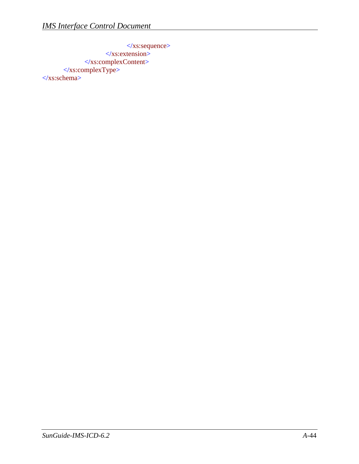</xs:sequence>  $\langle x$ s:extension> </xs:complexContent> </xs:complexType> </xs:schema>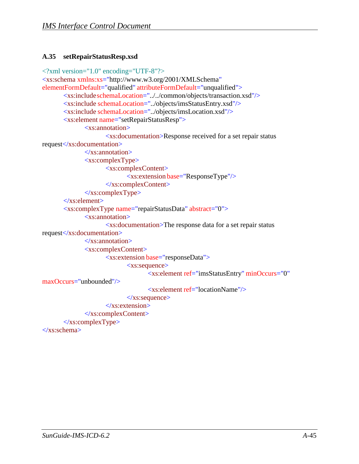#### <span id="page-61-0"></span>**A.35 setRepairStatusResp.xsd**

```
<?xml version="1.0" encoding="UTF-8"?>
<xs:schema xmlns:xs="http://www.w3.org/2001/XMLSchema" 
elementFormDefault="qualified" attributeFormDefault="unqualified">
       <xs:includeschemaLocation="../../common/objects/transaction.xsd"/>
       <xs:include schemaLocation="../objects/imsStatusEntry.xsd"/>
       <xs:include schemaLocation="../objects/imsLocation.xsd"/>
       <xs:element name="setRepairStatusResp">
              <xs:annotation>
                     <xs:documentation>Response received for a set repair status 
request</xs:documentation>
              \langle xs: annotation
              <xs:complexType>
                     <xs:complexContent>
                            <xs:extension base="ResponseType"/>
                     </xs:complexContent>
              </xs:complexType>
       \langlexs:element\rangle<xs:complexType name="repairStatusData" abstract="0">
              <xs:annotation>
                     <xs:documentation>The response data for a set repair status 
request</xs:documentation>
              </xs:annotation>
              <xs:complexContent>
                     <xs:extension base="responseData">
                            <xs:sequence>
                                   <xs:element ref="imsStatusEntry" minOccurs="0"
maxOccurs="unbounded"/>
                                   \langle x \rangle s: element ref="locationName"/></xs:sequence>
                     </xs:extension>
              </xs:complexContent>
       </xs:complexType>
</xs:schema>
```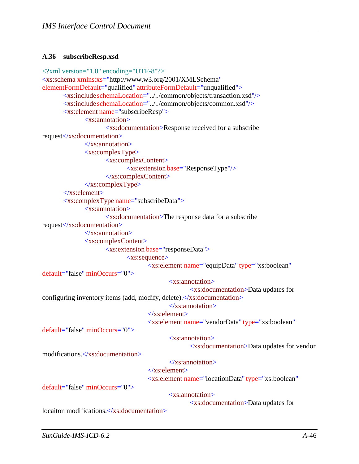#### <span id="page-62-0"></span>**A.36 subscribeResp.xsd**

```
<?xml version="1.0" encoding="UTF-8"?>
<xs:schema xmlns:xs="http://www.w3.org/2001/XMLSchema" 
elementFormDefault="qualified" attributeFormDefault="unqualified">
       <xs:includeschemaLocation="../../common/objects/transaction.xsd"/>
       <xs:includeschemaLocation="../../common/objects/common.xsd"/>
       <xs:element name="subscribeResp">
              <xs:annotation>
                     <xs:documentation>Response received for a subscribe 
request</xs:documentation>
              \langle x \ranglexs: annotation
              <xs:complexType>
                     <xs:complexContent>
                            <xs:extension base="ResponseType"/>
                     </xs:complexContent>
              </xs:complexType>
       </xs:element>
       <xs:complexType name="subscribeData">
              <xs:annotation>
                     <xs:documentation>The response data for a subscribe 
request</xs:documentation>
              \langle x \ranglexs: annotation
              <xs:complexContent>
                     <xs:extension base="responseData">
                            <xs:sequence>
                                   <xs:element name="equipData" type="xs:boolean"
default="false" minOccurs="0">
                                           <xs:annotation>
                                                  <xs:documentation>Data updates for
configuring inventory items (add, modify, delete). </xs:documentation>
                                           \langle x \ranglexs: annotation
                                   </xs:element>
                                   <xs:element name="vendorData" type="xs:boolean"
default="false" minOccurs="0"> 
modifications.</xs:documentation>
default="false" minOccurs="0">
                                           <xs:annotation>
                                                  <xs:documentation>Data updates for vendor
                                           </xs:annotation>
                                   </xs:element>
                                   <xs:element name="locationData" type="xs:boolean"
                                           <xs:annotation>
                                                  <xs:documentation>Data updates for
locaiton modifications.</xs:documentation>
```